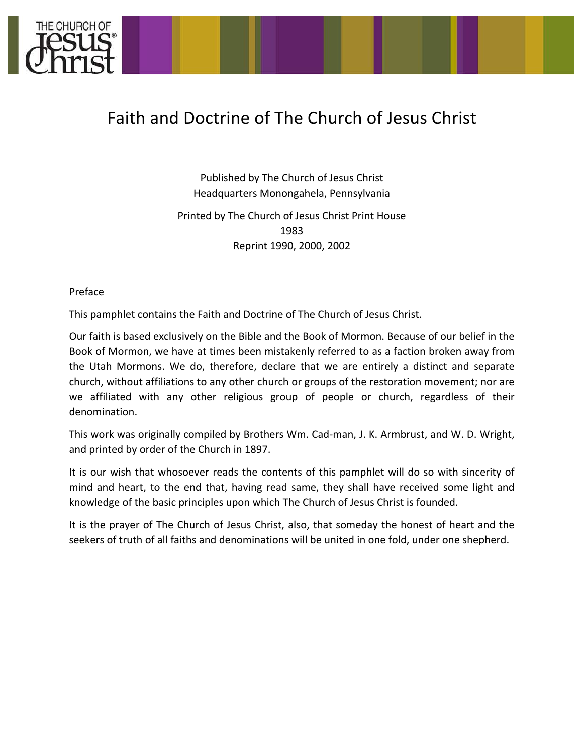

## Faith and Doctrine of The Church of Jesus Christ

Published by The Church of Jesus Christ Headquarters Monongahela, Pennsylvania Printed by The Church of Jesus Christ Print House 1983 Reprint 1990, 2000, 2002

Preface 

This pamphlet contains the Faith and Doctrine of The Church of Jesus Christ.

Our faith is based exclusively on the Bible and the Book of Mormon. Because of our belief in the Book of Mormon, we have at times been mistakenly referred to as a faction broken away from the Utah Mormons. We do, therefore, declare that we are entirely a distinct and separate church, without affiliations to any other church or groups of the restoration movement; nor are we affiliated with any other religious group of people or church, regardless of their denomination. 

This work was originally compiled by Brothers Wm. Cad-man, J. K. Armbrust, and W. D. Wright, and printed by order of the Church in 1897.

It is our wish that whosoever reads the contents of this pamphlet will do so with sincerity of mind and heart, to the end that, having read same, they shall have received some light and knowledge of the basic principles upon which The Church of Jesus Christ is founded.

It is the prayer of The Church of Jesus Christ, also, that someday the honest of heart and the seekers of truth of all faiths and denominations will be united in one fold, under one shepherd.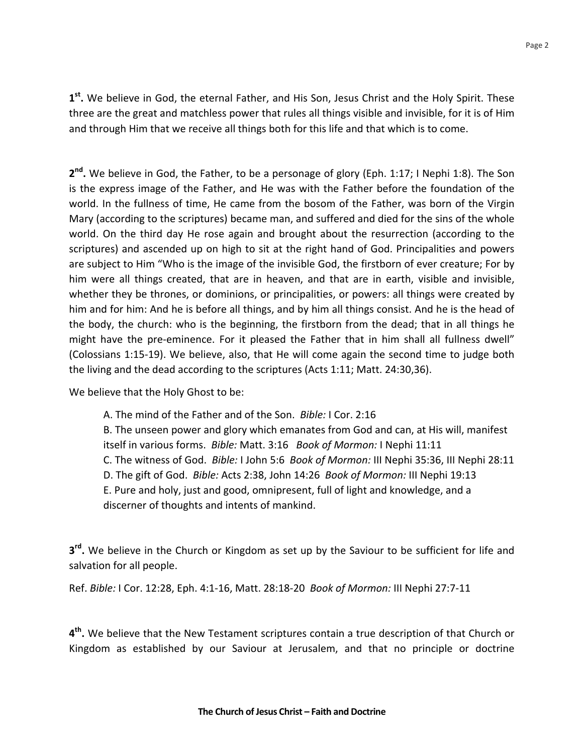1<sup>st</sup>. We believe in God, the eternal Father, and His Son, Jesus Christ and the Holy Spirit. These three are the great and matchless power that rules all things visible and invisible, for it is of Him and through Him that we receive all things both for this life and that which is to come.

2<sup>nd</sup>. We believe in God, the Father, to be a personage of glory (Eph. 1:17; I Nephi 1:8). The Son is the express image of the Father, and He was with the Father before the foundation of the world. In the fullness of time, He came from the bosom of the Father, was born of the Virgin Mary (according to the scriptures) became man, and suffered and died for the sins of the whole world. On the third day He rose again and brought about the resurrection (according to the scriptures) and ascended up on high to sit at the right hand of God. Principalities and powers are subject to Him "Who is the image of the invisible God, the firstborn of ever creature; For by him were all things created, that are in heaven, and that are in earth, visible and invisible, whether they be thrones, or dominions, or principalities, or powers: all things were created by him and for him: And he is before all things, and by him all things consist. And he is the head of the body, the church: who is the beginning, the firstborn from the dead; that in all things he might have the pre-eminence. For it pleased the Father that in him shall all fullness dwell" (Colossians 1:15-19). We believe, also, that He will come again the second time to judge both the living and the dead according to the scriptures (Acts 1:11; Matt. 24:30,36).

We believe that the Holy Ghost to be:

A. The mind of the Father and of the Son. *Bible:* I Cor. 2:16 B. The unseen power and glory which emanates from God and can, at His will, manifest itself in various forms. Bible: Matt. 3:16 Book of Mormon: I Nephi 11:11 C. The witness of God. *Bible:* I John 5:6 *Book of Mormon:* III Nephi 35:36, III Nephi 28:11 D. The gift of God. *Bible:* Acts 2:38, John 14:26 *Book of Mormon:* III Nephi 19:13 E. Pure and holy, just and good, omnipresent, full of light and knowledge, and a discerner of thoughts and intents of mankind.

**3<sup>rd</sup>.** We believe in the Church or Kingdom as set up by the Saviour to be sufficient for life and salvation for all people.

Ref. *Bible:* I Cor. 12:28, Eph. 4:1-16, Matt. 28:18-20 *Book of Mormon:* III Nephi 27:7-11

4<sup>th</sup>. We believe that the New Testament scriptures contain a true description of that Church or Kingdom as established by our Saviour at Jerusalem, and that no principle or doctrine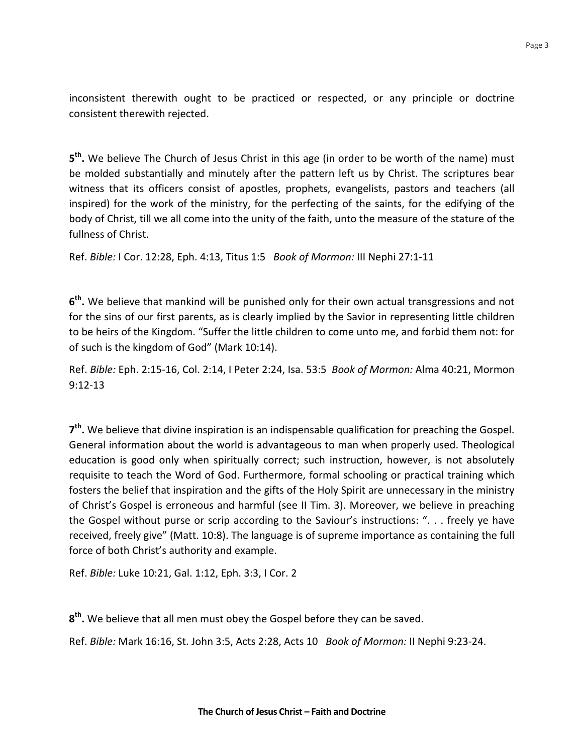inconsistent therewith ought to be practiced or respected, or any principle or doctrine consistent therewith rejected.

5<sup>th</sup>. We believe The Church of Jesus Christ in this age (in order to be worth of the name) must be molded substantially and minutely after the pattern left us by Christ. The scriptures bear witness that its officers consist of apostles, prophets, evangelists, pastors and teachers (all inspired) for the work of the ministry, for the perfecting of the saints, for the edifying of the body of Christ, till we all come into the unity of the faith, unto the measure of the stature of the fullness of Christ.

Ref. Bible: I Cor. 12:28, Eph. 4:13, Titus 1:5 Book of Mormon: III Nephi 27:1-11

6<sup>th</sup>. We believe that mankind will be punished only for their own actual transgressions and not for the sins of our first parents, as is clearly implied by the Savior in representing little children to be heirs of the Kingdom. "Suffer the little children to come unto me, and forbid them not: for of such is the kingdom of God" (Mark 10:14).

Ref. Bible: Eph. 2:15-16, Col. 2:14, I Peter 2:24, Isa. 53:5 Book of Mormon: Alma 40:21, Mormon 9:12-13

**7<sup>th</sup>.** We believe that divine inspiration is an indispensable qualification for preaching the Gospel. General information about the world is advantageous to man when properly used. Theological education is good only when spiritually correct; such instruction, however, is not absolutely requisite to teach the Word of God. Furthermore, formal schooling or practical training which fosters the belief that inspiration and the gifts of the Holy Spirit are unnecessary in the ministry of Christ's Gospel is erroneous and harmful (see II Tim. 3). Moreover, we believe in preaching the Gospel without purse or scrip according to the Saviour's instructions: ". . . freely ye have received, freely give" (Matt. 10:8). The language is of supreme importance as containing the full force of both Christ's authority and example.

Ref. *Bible:* Luke 10:21, Gal. 1:12, Eph. 3:3, I Cor. 2

**8<sup>th</sup>.** We believe that all men must obey the Gospel before they can be saved.

Ref. *Bible:* Mark 16:16, St. John 3:5, Acts 2:28, Acts 10 *Book of Mormon:* II Nephi 9:23-24.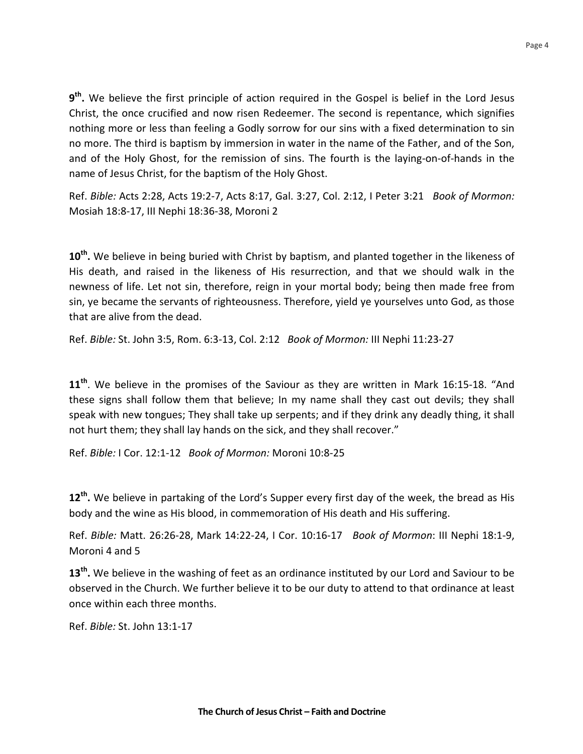**9<sup>th</sup>.** We believe the first principle of action required in the Gospel is belief in the Lord Jesus Christ, the once crucified and now risen Redeemer. The second is repentance, which signifies nothing more or less than feeling a Godly sorrow for our sins with a fixed determination to sin no more. The third is baptism by immersion in water in the name of the Father, and of the Son, and of the Holy Ghost, for the remission of sins. The fourth is the laying-on-of-hands in the name of Jesus Christ, for the baptism of the Holy Ghost.

Ref. *Bible:* Acts 2:28, Acts 19:2-7, Acts 8:17, Gal. 3:27, Col. 2:12, I Peter 3:21 *Book of Mormon:* Mosiah 18:8-17, III Nephi 18:36-38, Moroni 2

**10<sup>th</sup>.** We believe in being buried with Christ by baptism, and planted together in the likeness of His death, and raised in the likeness of His resurrection, and that we should walk in the newness of life. Let not sin, therefore, reign in your mortal body; being then made free from sin, ye became the servants of righteousness. Therefore, yield ye yourselves unto God, as those that are alive from the dead.

Ref. Bible: St. John 3:5, Rom. 6:3-13, Col. 2:12 Book of Mormon: III Nephi 11:23-27

**11<sup>th</sup>**. We believe in the promises of the Saviour as they are written in Mark 16:15-18. "And these signs shall follow them that believe; In my name shall they cast out devils; they shall speak with new tongues; They shall take up serpents; and if they drink any deadly thing, it shall not hurt them; they shall lay hands on the sick, and they shall recover."

Ref. *Bible:* I Cor. 12:1-12 *Book of Mormon:* Moroni 10:8-25

**12<sup>th</sup>.** We believe in partaking of the Lord's Supper every first day of the week, the bread as His body and the wine as His blood, in commemoration of His death and His suffering.

Ref. *Bible:* Matt. 26:26-28, Mark 14:22-24, I Cor. 10:16-17 *Book of Mormon*: III Nephi 18:1-9, Moroni 4 and 5

**13<sup>th</sup>.** We believe in the washing of feet as an ordinance instituted by our Lord and Saviour to be observed in the Church. We further believe it to be our duty to attend to that ordinance at least once within each three months. 

Ref. *Bible:* St. John 13:1-17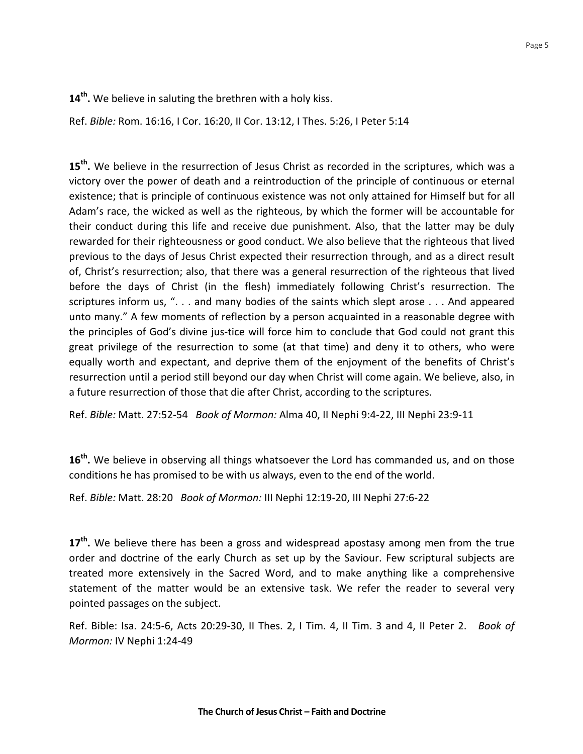**14<sup>th</sup>.** We believe in saluting the brethren with a holy kiss.

Ref. *Bible:* Rom. 16:16, I Cor. 16:20, II Cor. 13:12, I Thes. 5:26, I Peter 5:14

15<sup>th</sup>. We believe in the resurrection of Jesus Christ as recorded in the scriptures, which was a victory over the power of death and a reintroduction of the principle of continuous or eternal existence; that is principle of continuous existence was not only attained for Himself but for all Adam's race, the wicked as well as the righteous, by which the former will be accountable for their conduct during this life and receive due punishment. Also, that the latter may be duly rewarded for their righteousness or good conduct. We also believe that the righteous that lived previous to the days of Jesus Christ expected their resurrection through, and as a direct result of, Christ's resurrection; also, that there was a general resurrection of the righteous that lived before the days of Christ (in the flesh) immediately following Christ's resurrection. The scriptures inform us, ". . . and many bodies of the saints which slept arose  $\dots$  And appeared unto many." A few moments of reflection by a person acquainted in a reasonable degree with the principles of God's divine jus-tice will force him to conclude that God could not grant this great privilege of the resurrection to some (at that time) and deny it to others, who were equally worth and expectant, and deprive them of the enjoyment of the benefits of Christ's resurrection until a period still beyond our day when Christ will come again. We believe, also, in a future resurrection of those that die after Christ, according to the scriptures.

Ref. *Bible:* Matt. 27:52-54 *Book of Mormon:* Alma 40, II Nephi 9:4-22, III Nephi 23:9-11

**16<sup>th</sup>.** We believe in observing all things whatsoever the Lord has commanded us, and on those conditions he has promised to be with us always, even to the end of the world.

Ref. *Bible:* Matt. 28:20 *Book of Mormon:* III Nephi 12:19-20, III Nephi 27:6-22

17<sup>th</sup>. We believe there has been a gross and widespread apostasy among men from the true order and doctrine of the early Church as set up by the Saviour. Few scriptural subjects are treated more extensively in the Sacred Word, and to make anything like a comprehensive statement of the matter would be an extensive task. We refer the reader to several very pointed passages on the subject.

Ref. Bible: Isa. 24:5-6, Acts 20:29-30, II Thes. 2, I Tim. 4, II Tim. 3 and 4, II Peter 2. *Book of Mormon:* IV Nephi 1:24-49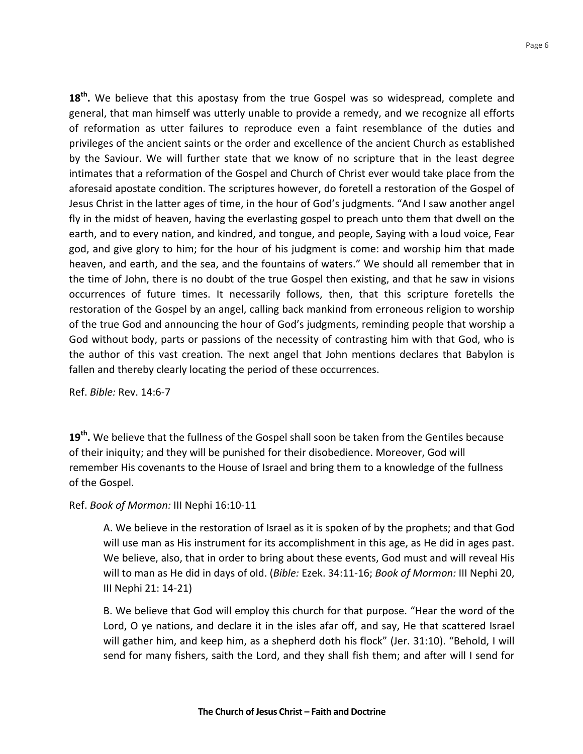**18<sup>th</sup>.** We believe that this apostasy from the true Gospel was so widespread, complete and general, that man himself was utterly unable to provide a remedy, and we recognize all efforts of reformation as utter failures to reproduce even a faint resemblance of the duties and privileges of the ancient saints or the order and excellence of the ancient Church as established by the Saviour. We will further state that we know of no scripture that in the least degree intimates that a reformation of the Gospel and Church of Christ ever would take place from the aforesaid apostate condition. The scriptures however, do foretell a restoration of the Gospel of Jesus Christ in the latter ages of time, in the hour of God's judgments. "And I saw another angel fly in the midst of heaven, having the everlasting gospel to preach unto them that dwell on the earth, and to every nation, and kindred, and tongue, and people, Saying with a loud voice, Fear god, and give glory to him; for the hour of his judgment is come: and worship him that made heaven, and earth, and the sea, and the fountains of waters." We should all remember that in the time of John, there is no doubt of the true Gospel then existing, and that he saw in visions occurrences of future times. It necessarily follows, then, that this scripture foretells the restoration of the Gospel by an angel, calling back mankind from erroneous religion to worship of the true God and announcing the hour of God's judgments, reminding people that worship a God without body, parts or passions of the necessity of contrasting him with that God, who is the author of this vast creation. The next angel that John mentions declares that Babylon is fallen and thereby clearly locating the period of these occurrences.

Ref. *Bible:* Rev. 14:6-7 

19<sup>th</sup>. We believe that the fullness of the Gospel shall soon be taken from the Gentiles because of their iniquity; and they will be punished for their disobedience. Moreover, God will remember His covenants to the House of Israel and bring them to a knowledge of the fullness of the Gospel.

## Ref. Book of Mormon: III Nephi 16:10-11

A. We believe in the restoration of Israel as it is spoken of by the prophets; and that God will use man as His instrument for its accomplishment in this age, as He did in ages past. We believe, also, that in order to bring about these events, God must and will reveal His will to man as He did in days of old. (*Bible:* Ezek. 34:11-16; *Book of Mormon:* III Nephi 20, III Nephi 21: 14-21)

B. We believe that God will employ this church for that purpose. "Hear the word of the Lord, O ye nations, and declare it in the isles afar off, and say, He that scattered Israel will gather him, and keep him, as a shepherd doth his flock" (Jer. 31:10). "Behold, I will send for many fishers, saith the Lord, and they shall fish them; and after will I send for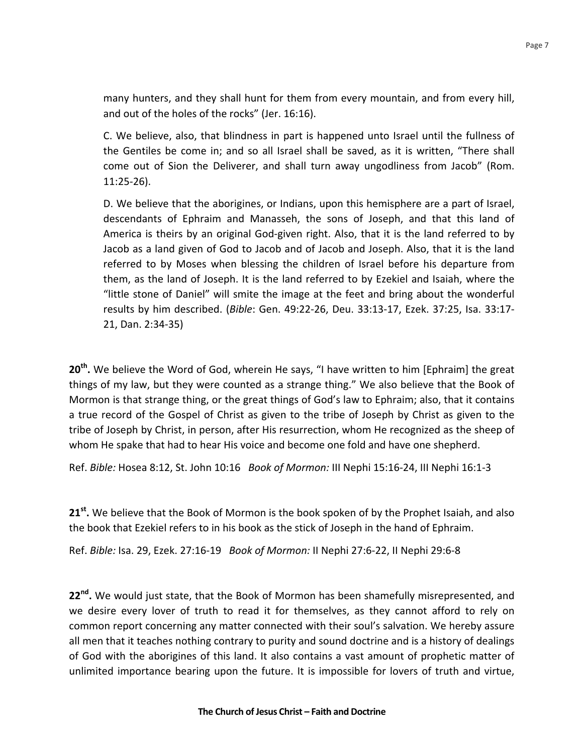many hunters, and they shall hunt for them from every mountain, and from every hill, and out of the holes of the rocks" (Jer. 16:16).

C. We believe, also, that blindness in part is happened unto Israel until the fullness of the Gentiles be come in; and so all Israel shall be saved, as it is written, "There shall come out of Sion the Deliverer, and shall turn away ungodliness from Jacob" (Rom. 11:25-26). 

D. We believe that the aborigines, or Indians, upon this hemisphere are a part of Israel, descendants of Ephraim and Manasseh, the sons of Joseph, and that this land of America is theirs by an original God-given right. Also, that it is the land referred to by Jacob as a land given of God to Jacob and of Jacob and Joseph. Also, that it is the land referred to by Moses when blessing the children of Israel before his departure from them, as the land of Joseph. It is the land referred to by Ezekiel and Isaiah, where the "little stone of Daniel" will smite the image at the feet and bring about the wonderful results by him described. (Bible: Gen. 49:22-26, Deu. 33:13-17, Ezek. 37:25, Isa. 33:17-21, Dan. 2:34-35)

**20<sup>th</sup>.** We believe the Word of God, wherein He says, "I have written to him [Ephraim] the great things of my law, but they were counted as a strange thing." We also believe that the Book of Mormon is that strange thing, or the great things of God's law to Ephraim; also, that it contains a true record of the Gospel of Christ as given to the tribe of Joseph by Christ as given to the tribe of Joseph by Christ, in person, after His resurrection, whom He recognized as the sheep of whom He spake that had to hear His voice and become one fold and have one shepherd.

Ref. *Bible:* Hosea 8:12, St. John 10:16 *Book of Mormon:* III Nephi 15:16-24, III Nephi 16:1-3

**21<sup>st</sup>.** We believe that the Book of Mormon is the book spoken of by the Prophet Isaiah, and also the book that Ezekiel refers to in his book as the stick of Joseph in the hand of Ephraim.

Ref. *Bible:* Isa. 29, Ezek. 27:16-19 *Book of Mormon:* II Nephi 27:6-22, II Nephi 29:6-8 

**22<sup>nd</sup>**. We would just state, that the Book of Mormon has been shamefully misrepresented, and we desire every lover of truth to read it for themselves, as they cannot afford to rely on common report concerning any matter connected with their soul's salvation. We hereby assure all men that it teaches nothing contrary to purity and sound doctrine and is a history of dealings of God with the aborigines of this land. It also contains a vast amount of prophetic matter of unlimited importance bearing upon the future. It is impossible for lovers of truth and virtue,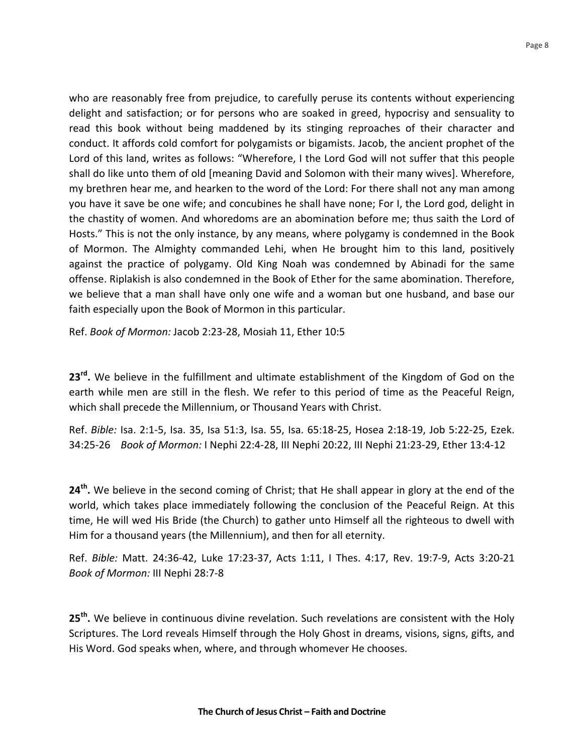who are reasonably free from prejudice, to carefully peruse its contents without experiencing delight and satisfaction; or for persons who are soaked in greed, hypocrisy and sensuality to read this book without being maddened by its stinging reproaches of their character and conduct. It affords cold comfort for polygamists or bigamists. Jacob, the ancient prophet of the Lord of this land, writes as follows: "Wherefore, I the Lord God will not suffer that this people shall do like unto them of old [meaning David and Solomon with their many wives]. Wherefore, my brethren hear me, and hearken to the word of the Lord: For there shall not any man among you have it save be one wife; and concubines he shall have none; For I, the Lord god, delight in the chastity of women. And whoredoms are an abomination before me; thus saith the Lord of Hosts." This is not the only instance, by any means, where polygamy is condemned in the Book of Mormon. The Almighty commanded Lehi, when He brought him to this land, positively against the practice of polygamy. Old King Noah was condemned by Abinadi for the same offense. Riplakish is also condemned in the Book of Ether for the same abomination. Therefore, we believe that a man shall have only one wife and a woman but one husband, and base our faith especially upon the Book of Mormon in this particular.

Ref. *Book of Mormon:* Jacob 2:23-28, Mosiah 11, Ether 10:5

23<sup>rd</sup>. We believe in the fulfillment and ultimate establishment of the Kingdom of God on the earth while men are still in the flesh. We refer to this period of time as the Peaceful Reign, which shall precede the Millennium, or Thousand Years with Christ.

Ref. *Bible:* Isa. 2:1-5, Isa. 35, Isa 51:3, Isa. 55, Isa. 65:18-25, Hosea 2:18-19, Job 5:22-25, Ezek. 34:25-26 *Book of Mormon:* I Nephi 22:4-28, III Nephi 20:22, III Nephi 21:23-29, Ether 13:4-12

24<sup>th</sup>. We believe in the second coming of Christ; that He shall appear in glory at the end of the world, which takes place immediately following the conclusion of the Peaceful Reign. At this time, He will wed His Bride (the Church) to gather unto Himself all the righteous to dwell with Him for a thousand years (the Millennium), and then for all eternity.

Ref. Bible: Matt. 24:36-42, Luke 17:23-37, Acts 1:11, I Thes. 4:17, Rev. 19:7-9, Acts 3:20-21 *Book of Mormon:* III Nephi 28:7-8 

**25<sup>th</sup>.** We believe in continuous divine revelation. Such revelations are consistent with the Holy Scriptures. The Lord reveals Himself through the Holy Ghost in dreams, visions, signs, gifts, and His Word. God speaks when, where, and through whomever He chooses.